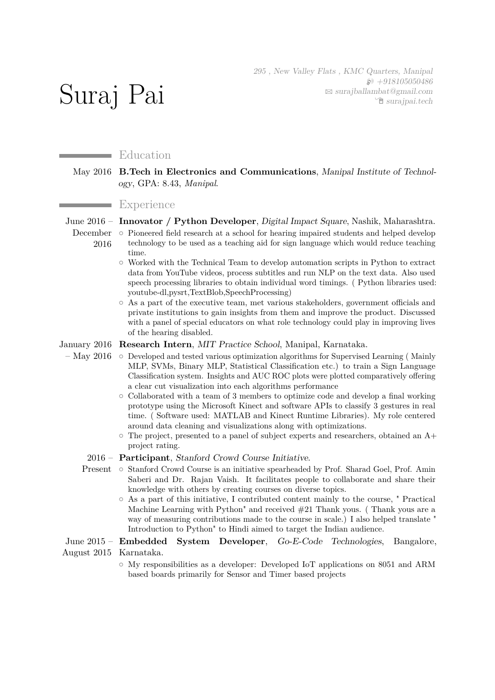295 , New Valley Flats , KMC Quarters, Manipal  $$+918105050486$  $\boxtimes$  [surajballambat@gmail.com](mailto:surajballambat@gmail.com) Í [surajpai.tech](http://surajpai.tech)

# Education

Suraj Pai

### May 2016 **B.Tech in Electronics and Communications**, Manipal Institute of Technology, GPA: 8.43, *Manipal*.

### **Experience**

June 2016 – **Innovator / Python Developer**, Digital Impact Square, Nashik, Maharashtra. December  $\circ$  Pioneered field research at a school for hearing impaired students and helped develop 2016 technology to be used as a teaching aid for sign language which would reduce teaching

- time.  $\circ$  Worked with the Technical Team to develop automation scripts in Python to extract data from YouTube videos, process subtitles and run NLP on the text data. Also used speech processing libraries to obtain individual word timings. ( Python libraries used: youtube-dl,pysrt,TextBlob,SpeechProcessing)
- $\circ$  As a part of the executive team, met various stakeholders, government officials and private institutions to gain insights from them and improve the product. Discussed with a panel of special educators on what role technology could play in improving lives of the hearing disabled.

January 2016 **Research Intern**, MIT Practice School, Manipal, Karnataka.

- May 2016 Developed and tested various optimization algorithms for Supervised Learning (Mainly MLP, SVMs, Binary MLP, Statistical Classification etc.) to train a Sign Language Classification system. Insights and AUC ROC plots were plotted comparatively offering a clear cut visualization into each algorithms performance
	- $\circ$  Collaborated with a team of 3 members to optimize code and develop a final working prototype using the Microsoft Kinect and software APIs to classify 3 gestures in real time. ( Software used: MATLAB and Kinect Runtime Libraries). My role centered around data cleaning and visualizations along with optimizations.
	- $\circ$  The project, presented to a panel of subject experts and researchers, obtained an A+ project rating.

#### 2016 – **Participant**, Stanford Crowd Course Initiative.

- Present o Stanford Crowd Course is an initiative spearheaded by Prof. Sharad Goel, Prof. Amin Saberi and Dr. Rajan Vaish. It facilitates people to collaborate and share their knowledge with others by creating courses on diverse topics.
	- $\circ$  As a part of this initiative, I contributed content mainly to the course, " Practical Machine Learning with Python" and received  $#21$  Thank yous. (Thank yous are a way of measuring contributions made to the course in scale.) I also helped translate " Introduction to Python" to Hindi aimed to target the Indian audience.

## June 2015 – **Embedded System Developer**, Go-E-Code Technologies, Bangalore, August 2015 Karnataka.

 $\circ$  My responsibilities as a developer: Developed IoT applications on 8051 and ARM based boards primarily for Sensor and Timer based projects